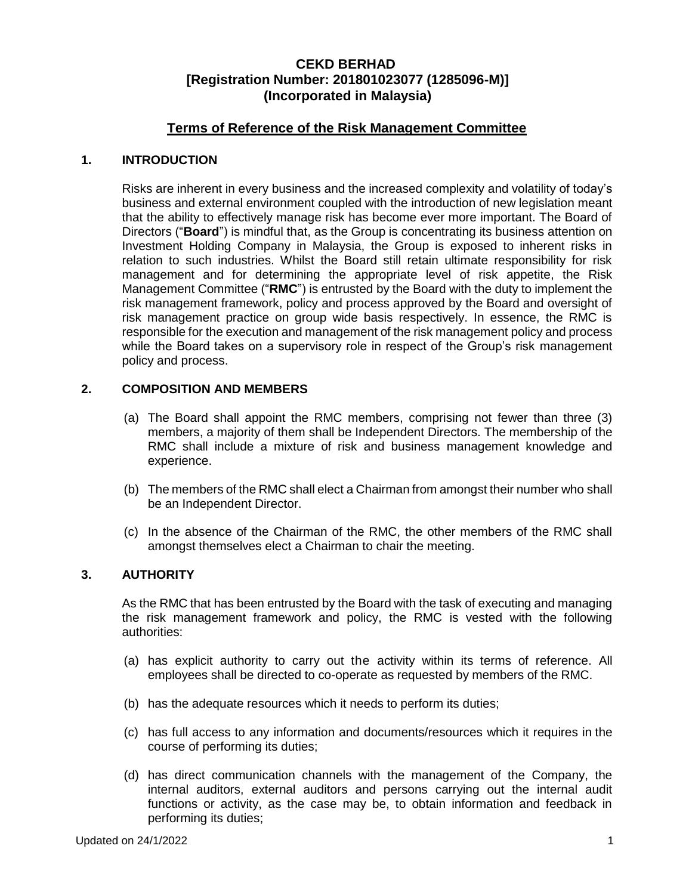## **Terms of Reference of the Risk Management Committee**

#### **1. INTRODUCTION**

Risks are inherent in every business and the increased complexity and volatility of today's business and external environment coupled with the introduction of new legislation meant that the ability to effectively manage risk has become ever more important. The Board of Directors ("**Board**") is mindful that, as the Group is concentrating its business attention on Investment Holding Company in Malaysia, the Group is exposed to inherent risks in relation to such industries. Whilst the Board still retain ultimate responsibility for risk management and for determining the appropriate level of risk appetite, the Risk Management Committee ("**RMC**") is entrusted by the Board with the duty to implement the risk management framework, policy and process approved by the Board and oversight of risk management practice on group wide basis respectively. In essence, the RMC is responsible for the execution and management of the risk management policy and process while the Board takes on a supervisory role in respect of the Group's risk management policy and process.

### **2. COMPOSITION AND MEMBERS**

- (a) The Board shall appoint the RMC members, comprising not fewer than three (3) members, a majority of them shall be Independent Directors. The membership of the RMC shall include a mixture of risk and business management knowledge and experience.
- (b) The members of the RMC shall elect a Chairman from amongst their number who shall be an Independent Director.
- (c) In the absence of the Chairman of the RMC, the other members of the RMC shall amongst themselves elect a Chairman to chair the meeting.

## **3. AUTHORITY**

As the RMC that has been entrusted by the Board with the task of executing and managing the risk management framework and policy, the RMC is vested with the following authorities:

- (a) has explicit authority to carry out the activity within its terms of reference. All employees shall be directed to co-operate as requested by members of the RMC.
- (b) has the adequate resources which it needs to perform its duties;
- (c) has full access to any information and documents/resources which it requires in the course of performing its duties;
- (d) has direct communication channels with the management of the Company, the internal auditors, external auditors and persons carrying out the internal audit functions or activity, as the case may be, to obtain information and feedback in performing its duties;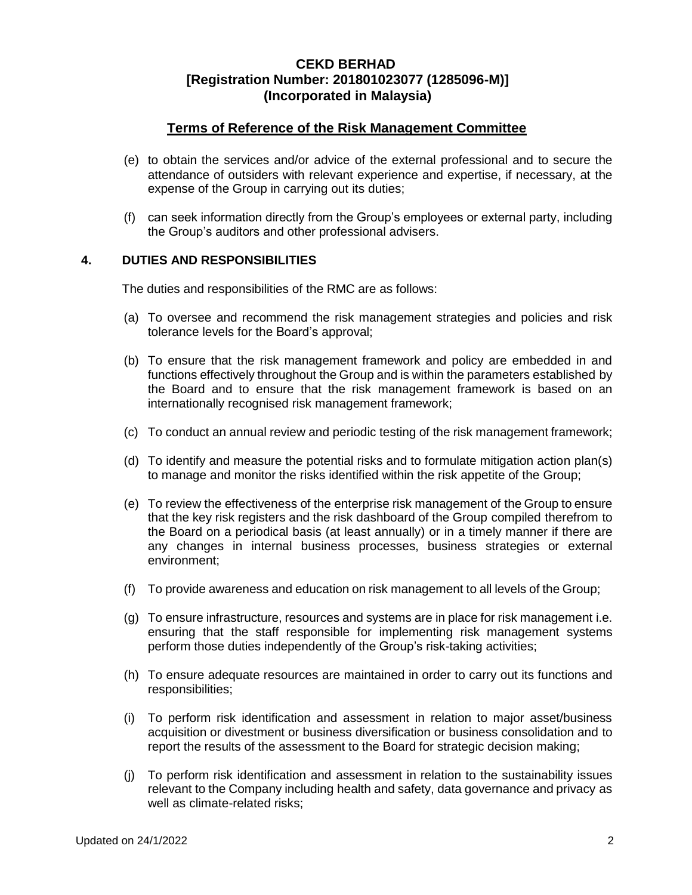## **Terms of Reference of the Risk Management Committee**

- (e) to obtain the services and/or advice of the external professional and to secure the attendance of outsiders with relevant experience and expertise, if necessary, at the expense of the Group in carrying out its duties;
- (f) can seek information directly from the Group's employees or external party, including the Group's auditors and other professional advisers.

#### **4. DUTIES AND RESPONSIBILITIES**

The duties and responsibilities of the RMC are as follows:

- (a) To oversee and recommend the risk management strategies and policies and risk tolerance levels for the Board's approval;
- (b) To ensure that the risk management framework and policy are embedded in and functions effectively throughout the Group and is within the parameters established by the Board and to ensure that the risk management framework is based on an internationally recognised risk management framework;
- (c) To conduct an annual review and periodic testing of the risk management framework;
- (d) To identify and measure the potential risks and to formulate mitigation action plan(s) to manage and monitor the risks identified within the risk appetite of the Group;
- (e) To review the effectiveness of the enterprise risk management of the Group to ensure that the key risk registers and the risk dashboard of the Group compiled therefrom to the Board on a periodical basis (at least annually) or in a timely manner if there are any changes in internal business processes, business strategies or external environment;
- (f) To provide awareness and education on risk management to all levels of the Group;
- (g) To ensure infrastructure, resources and systems are in place for risk management i.e. ensuring that the staff responsible for implementing risk management systems perform those duties independently of the Group's risk-taking activities;
- (h) To ensure adequate resources are maintained in order to carry out its functions and responsibilities;
- (i) To perform risk identification and assessment in relation to major asset/business acquisition or divestment or business diversification or business consolidation and to report the results of the assessment to the Board for strategic decision making;
- (j) To perform risk identification and assessment in relation to the sustainability issues relevant to the Company including health and safety, data governance and privacy as well as climate-related risks;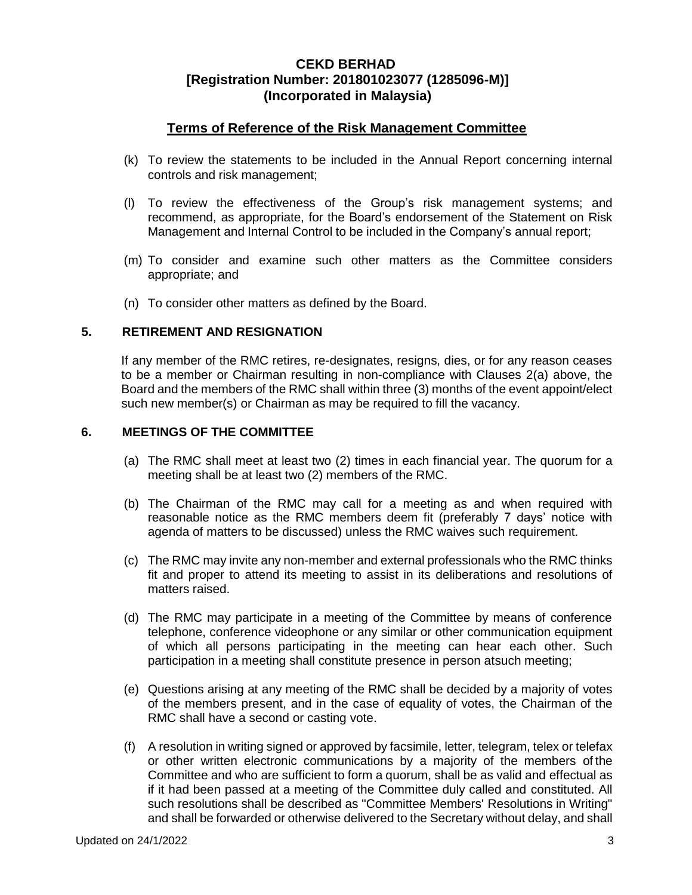## **Terms of Reference of the Risk Management Committee**

- (k) To review the statements to be included in the Annual Report concerning internal controls and risk management;
- (l) To review the effectiveness of the Group's risk management systems; and recommend, as appropriate, for the Board's endorsement of the Statement on Risk Management and Internal Control to be included in the Company's annual report;
- (m) To consider and examine such other matters as the Committee considers appropriate; and
- (n) To consider other matters as defined by the Board.

#### **5. RETIREMENT AND RESIGNATION**

If any member of the RMC retires, re-designates, resigns, dies, or for any reason ceases to be a member or Chairman resulting in non-compliance with Clauses 2(a) above, the Board and the members of the RMC shall within three (3) months of the event appoint/elect such new member(s) or Chairman as may be required to fill the vacancy.

#### **6. MEETINGS OF THE COMMITTEE**

- (a) The RMC shall meet at least two (2) times in each financial year. The quorum for a meeting shall be at least two (2) members of the RMC.
- (b) The Chairman of the RMC may call for a meeting as and when required with reasonable notice as the RMC members deem fit (preferably 7 days' notice with agenda of matters to be discussed) unless the RMC waives such requirement.
- (c) The RMC may invite any non-member and external professionals who the RMC thinks fit and proper to attend its meeting to assist in its deliberations and resolutions of matters raised.
- (d) The RMC may participate in a meeting of the Committee by means of conference telephone, conference videophone or any similar or other communication equipment of which all persons participating in the meeting can hear each other. Such participation in a meeting shall constitute presence in person atsuch meeting;
- (e) Questions arising at any meeting of the RMC shall be decided by a majority of votes of the members present, and in the case of equality of votes, the Chairman of the RMC shall have a second or casting vote.
- (f) A resolution in writing signed or approved by facsimile, letter, telegram, telex or telefax or other written electronic communications by a majority of the members of the Committee and who are sufficient to form a quorum, shall be as valid and effectual as if it had been passed at a meeting of the Committee duly called and constituted. All such resolutions shall be described as "Committee Members' Resolutions in Writing" and shall be forwarded or otherwise delivered to the Secretary without delay, and shall